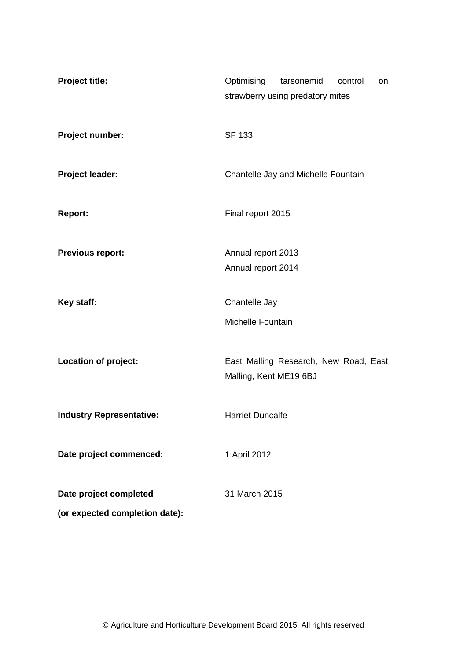| <b>Project title:</b>           | Optimising<br>tarsonemid<br>control<br>on<br>strawberry using predatory mites |
|---------------------------------|-------------------------------------------------------------------------------|
| Project number:                 | <b>SF 133</b>                                                                 |
| <b>Project leader:</b>          | Chantelle Jay and Michelle Fountain                                           |
| <b>Report:</b>                  | Final report 2015                                                             |
| <b>Previous report:</b>         | Annual report 2013                                                            |
|                                 | Annual report 2014                                                            |
| Key staff:                      | Chantelle Jay                                                                 |
|                                 | <b>Michelle Fountain</b>                                                      |
| Location of project:            | East Malling Research, New Road, East                                         |
|                                 | Malling, Kent ME19 6BJ                                                        |
| <b>Industry Representative:</b> | <b>Harriet Duncalfe</b>                                                       |
| Date project commenced:         | 1 April 2012                                                                  |
|                                 |                                                                               |
| Date project completed          | 31 March 2015                                                                 |
| (or expected completion date):  |                                                                               |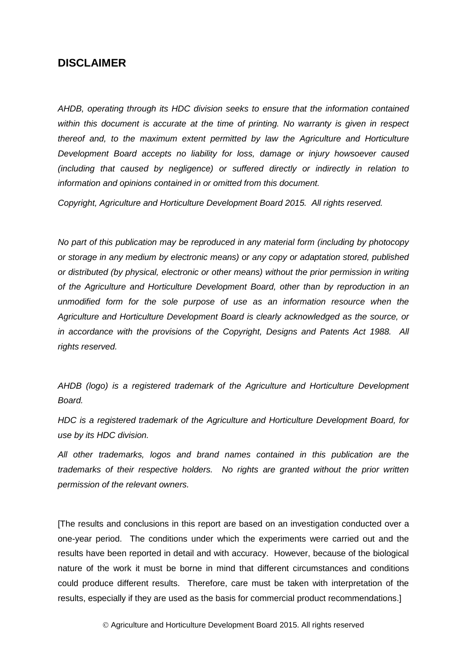### **DISCLAIMER**

*AHDB, operating through its HDC division seeks to ensure that the information contained within this document is accurate at the time of printing. No warranty is given in respect thereof and, to the maximum extent permitted by law the Agriculture and Horticulture Development Board accepts no liability for loss, damage or injury howsoever caused (including that caused by negligence) or suffered directly or indirectly in relation to information and opinions contained in or omitted from this document.* 

*Copyright, Agriculture and Horticulture Development Board 2015. All rights reserved.*

*No part of this publication may be reproduced in any material form (including by photocopy or storage in any medium by electronic means) or any copy or adaptation stored, published or distributed (by physical, electronic or other means) without the prior permission in writing of the Agriculture and Horticulture Development Board, other than by reproduction in an unmodified form for the sole purpose of use as an information resource when the Agriculture and Horticulture Development Board is clearly acknowledged as the source, or in accordance with the provisions of the Copyright, Designs and Patents Act 1988. All rights reserved.* 

*AHDB (logo) is a registered trademark of the Agriculture and Horticulture Development Board.*

*HDC is a registered trademark of the Agriculture and Horticulture Development Board, for use by its HDC division.*

*All other trademarks, logos and brand names contained in this publication are the trademarks of their respective holders. No rights are granted without the prior written permission of the relevant owners.*

[The results and conclusions in this report are based on an investigation conducted over a one-year period. The conditions under which the experiments were carried out and the results have been reported in detail and with accuracy. However, because of the biological nature of the work it must be borne in mind that different circumstances and conditions could produce different results. Therefore, care must be taken with interpretation of the results, especially if they are used as the basis for commercial product recommendations.]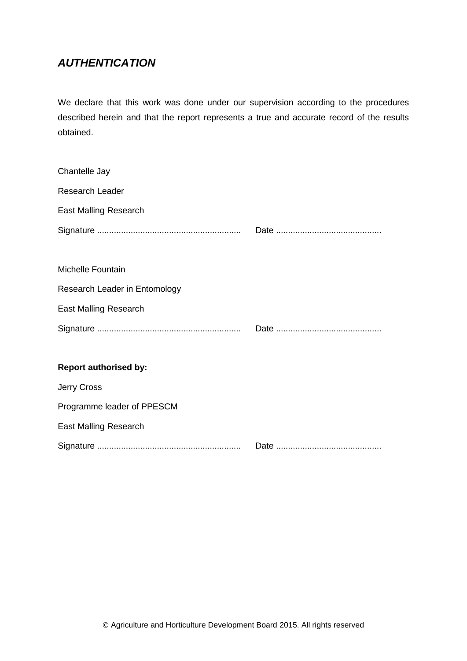# *AUTHENTICATION*

We declare that this work was done under our supervision according to the procedures described herein and that the report represents a true and accurate record of the results obtained.

| Chantelle Jay                 |  |
|-------------------------------|--|
| Research Leader               |  |
| <b>East Malling Research</b>  |  |
|                               |  |
|                               |  |
| <b>Michelle Fountain</b>      |  |
| Research Leader in Entomology |  |
| <b>East Malling Research</b>  |  |
|                               |  |
|                               |  |
| <b>Report authorised by:</b>  |  |
| Jerry Cross                   |  |
| Programme leader of PPESCM    |  |
| <b>East Malling Research</b>  |  |
|                               |  |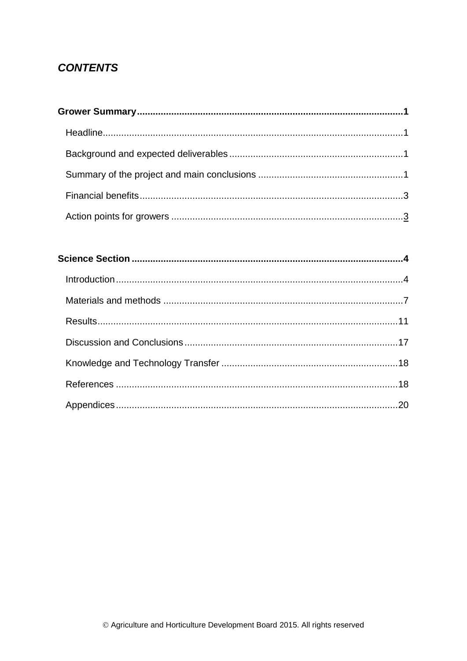# **CONTENTS**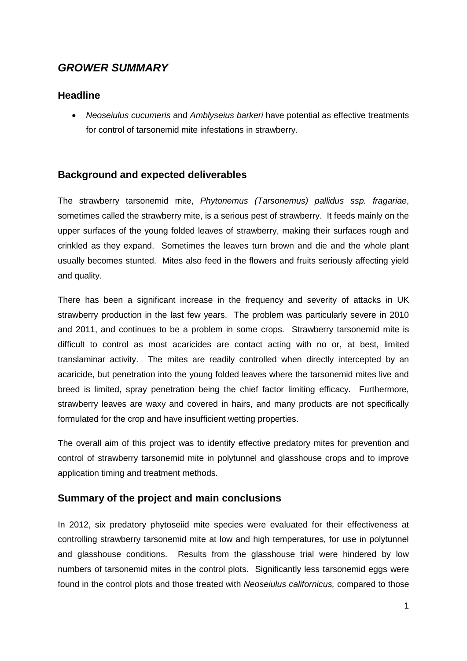# <span id="page-4-0"></span>*GROWER SUMMARY*

# <span id="page-4-1"></span>**Headline**

 *Neoseiulus cucumeris* and *Amblyseius barkeri* have potential as effective treatments for control of tarsonemid mite infestations in strawberry*.* 

# <span id="page-4-2"></span>**Background and expected deliverables**

<span id="page-4-3"></span>The strawberry tarsonemid mite, *Phytonemus (Tarsonemus) pallidus ssp. fragariae*, sometimes called the strawberry mite, is a serious pest of strawberry. It feeds mainly on the upper surfaces of the young folded leaves of strawberry, making their surfaces rough and crinkled as they expand. Sometimes the leaves turn brown and die and the whole plant usually becomes stunted. Mites also feed in the flowers and fruits seriously affecting yield and quality.

There has been a significant increase in the frequency and severity of attacks in UK strawberry production in the last few years. The problem was particularly severe in 2010 and 2011, and continues to be a problem in some crops. Strawberry tarsonemid mite is difficult to control as most acaricides are contact acting with no or, at best, limited translaminar activity. The mites are readily controlled when directly intercepted by an acaricide, but penetration into the young folded leaves where the tarsonemid mites live and breed is limited, spray penetration being the chief factor limiting efficacy. Furthermore, strawberry leaves are waxy and covered in hairs, and many products are not specifically formulated for the crop and have insufficient wetting properties.

The overall aim of this project was to identify effective predatory mites for prevention and control of strawberry tarsonemid mite in polytunnel and glasshouse crops and to improve application timing and treatment methods.

## **Summary of the project and main conclusions**

<span id="page-4-4"></span>In 2012, six predatory phytoseiid mite species were evaluated for their effectiveness at controlling strawberry tarsonemid mite at low and high temperatures, for use in polytunnel and glasshouse conditions. Results from the glasshouse trial were hindered by low numbers of tarsonemid mites in the control plots. Significantly less tarsonemid eggs were found in the control plots and those treated with *Neoseiulus californicus,* compared to those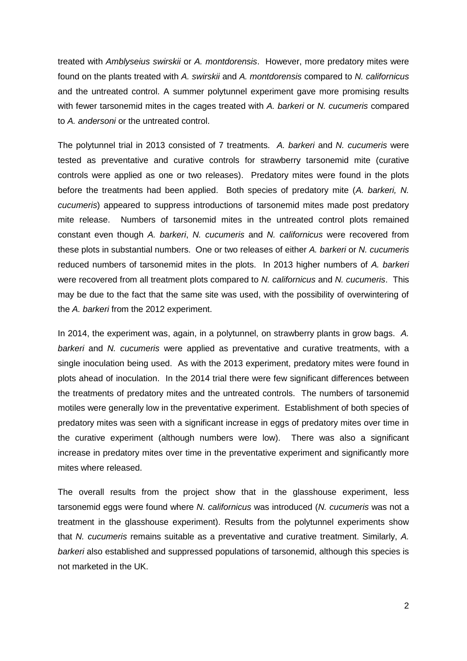treated with *Amblyseius swirskii* or *A. montdorensis*. However, more predatory mites were found on the plants treated with *A. swirskii* and *A. montdorensis* compared to *N. californicus* and the untreated control. A summer polytunnel experiment gave more promising results with fewer tarsonemid mites in the cages treated with *A. barkeri* or *N. cucumeris* compared to *A. andersoni* or the untreated control.

The polytunnel trial in 2013 consisted of 7 treatments. *A. barkeri* and *N. cucumeris* were tested as preventative and curative controls for strawberry tarsonemid mite (curative controls were applied as one or two releases). Predatory mites were found in the plots before the treatments had been applied. Both species of predatory mite (*A. barkeri, N. cucumeris*) appeared to suppress introductions of tarsonemid mites made post predatory mite release. Numbers of tarsonemid mites in the untreated control plots remained constant even though *A. barkeri*, *N. cucumeris* and *N. californicus* were recovered from these plots in substantial numbers. One or two releases of either *A. barkeri* or *N. cucumeris* reduced numbers of tarsonemid mites in the plots. In 2013 higher numbers of *A. barkeri* were recovered from all treatment plots compared to *N. californicus* and *N. cucumeris*. This may be due to the fact that the same site was used, with the possibility of overwintering of the *A. barkeri* from the 2012 experiment.

In 2014, the experiment was, again, in a polytunnel, on strawberry plants in grow bags. *A. barkeri* and *N. cucumeris* were applied as preventative and curative treatments, with a single inoculation being used. As with the 2013 experiment, predatory mites were found in plots ahead of inoculation. In the 2014 trial there were few significant differences between the treatments of predatory mites and the untreated controls. The numbers of tarsonemid motiles were generally low in the preventative experiment. Establishment of both species of predatory mites was seen with a significant increase in eggs of predatory mites over time in the curative experiment (although numbers were low). There was also a significant increase in predatory mites over time in the preventative experiment and significantly more mites where released.

The overall results from the project show that in the glasshouse experiment, less tarsonemid eggs were found where *N. californicus* was introduced (*N. cucumeris* was not a treatment in the glasshouse experiment). Results from the polytunnel experiments show that *N. cucumeris* remains suitable as a preventative and curative treatment. Similarly, *A. barkeri* also established and suppressed populations of tarsonemid, although this species is not marketed in the UK.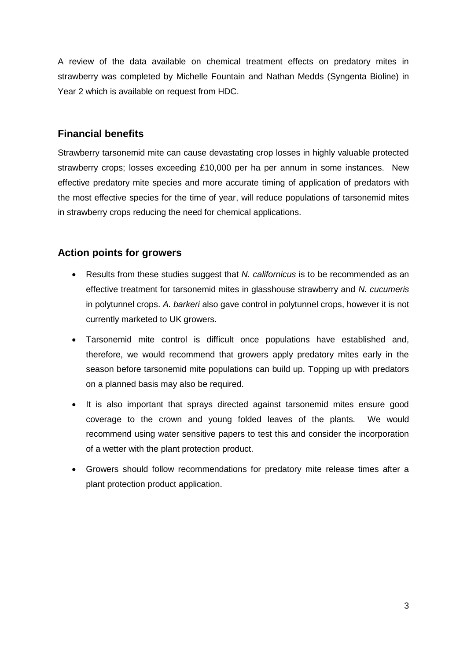A review of the data available on chemical treatment effects on predatory mites in strawberry was completed by Michelle Fountain and Nathan Medds (Syngenta Bioline) in Year 2 which is available on request from HDC.

# **Financial benefits**

Strawberry tarsonemid mite can cause devastating crop losses in highly valuable protected strawberry crops; losses exceeding £10,000 per ha per annum in some instances. New effective predatory mite species and more accurate timing of application of predators with the most effective species for the time of year, will reduce populations of tarsonemid mites in strawberry crops reducing the need for chemical applications.

# **Action points for growers**

- Results from these studies suggest that *N. californicus* is to be recommended as an effective treatment for tarsonemid mites in glasshouse strawberry and *N. cucumeris*  in polytunnel crops. *A. barkeri* also gave control in polytunnel crops, however it is not currently marketed to UK growers.
- Tarsonemid mite control is difficult once populations have established and, therefore, we would recommend that growers apply predatory mites early in the season before tarsonemid mite populations can build up. Topping up with predators on a planned basis may also be required.
- It is also important that sprays directed against tarsonemid mites ensure good coverage to the crown and young folded leaves of the plants. We would recommend using water sensitive papers to test this and consider the incorporation of a wetter with the plant protection product.
- Growers should follow recommendations for predatory mite release times after a plant protection product application.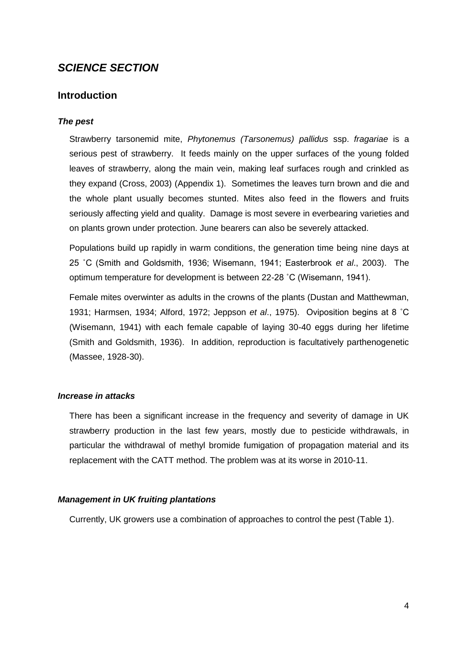# <span id="page-7-0"></span>*SCIENCE SECTION*

### <span id="page-7-1"></span>**Introduction**

### *The pest*

Strawberry tarsonemid mite, *Phytonemus (Tarsonemus) pallidus* ssp. *fragariae* is a serious pest of strawberry. It feeds mainly on the upper surfaces of the young folded leaves of strawberry, along the main vein, making leaf surfaces rough and crinkled as they expand (Cross, 2003) (Appendix 1). Sometimes the leaves turn brown and die and the whole plant usually becomes stunted. Mites also feed in the flowers and fruits seriously affecting yield and quality. Damage is most severe in everbearing varieties and on plants grown under protection. June bearers can also be severely attacked.

Populations build up rapidly in warm conditions, the generation time being nine days at 25 ˚C (Smith and Goldsmith, 1936; Wisemann, 1941; Easterbrook *et al*., 2003). The optimum temperature for development is between 22-28 ˚C (Wisemann, 1941).

Female mites overwinter as adults in the crowns of the plants (Dustan and Matthewman, 1931; Harmsen, 1934; Alford, 1972; Jeppson *et al*., 1975). Oviposition begins at 8 ˚C (Wisemann, 1941) with each female capable of laying 30-40 eggs during her lifetime (Smith and Goldsmith, 1936). In addition, reproduction is facultatively parthenogenetic (Massee, 1928-30).

#### *Increase in attacks*

There has been a significant increase in the frequency and severity of damage in UK strawberry production in the last few years, mostly due to pesticide withdrawals, in particular the withdrawal of methyl bromide fumigation of propagation material and its replacement with the CATT method. The problem was at its worse in 2010-11.

#### *Management in UK fruiting plantations*

Currently, UK growers use a combination of approaches to control the pest (Table 1).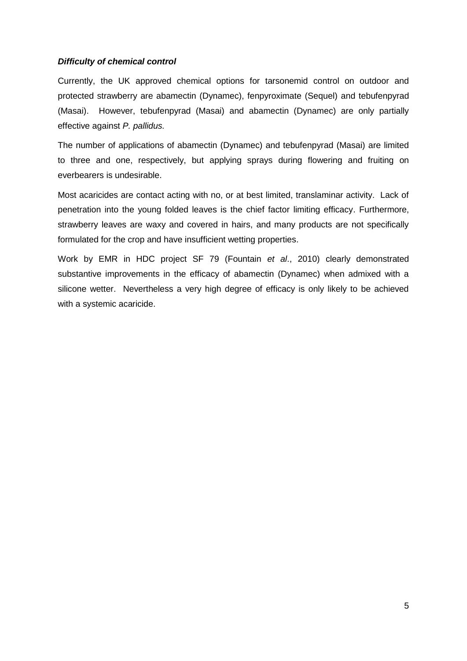### *Difficulty of chemical control*

Currently, the UK approved chemical options for tarsonemid control on outdoor and protected strawberry are abamectin (Dynamec), fenpyroximate (Sequel) and tebufenpyrad (Masai). However, tebufenpyrad (Masai) and abamectin (Dynamec) are only partially effective against *P. pallidus.*

The number of applications of abamectin (Dynamec) and tebufenpyrad (Masai) are limited to three and one, respectively, but applying sprays during flowering and fruiting on everbearers is undesirable.

Most acaricides are contact acting with no, or at best limited, translaminar activity. Lack of penetration into the young folded leaves is the chief factor limiting efficacy. Furthermore, strawberry leaves are waxy and covered in hairs, and many products are not specifically formulated for the crop and have insufficient wetting properties.

Work by EMR in HDC project SF 79 (Fountain *et al*., 2010) clearly demonstrated substantive improvements in the efficacy of abamectin (Dynamec) when admixed with a silicone wetter. Nevertheless a very high degree of efficacy is only likely to be achieved with a systemic acaricide.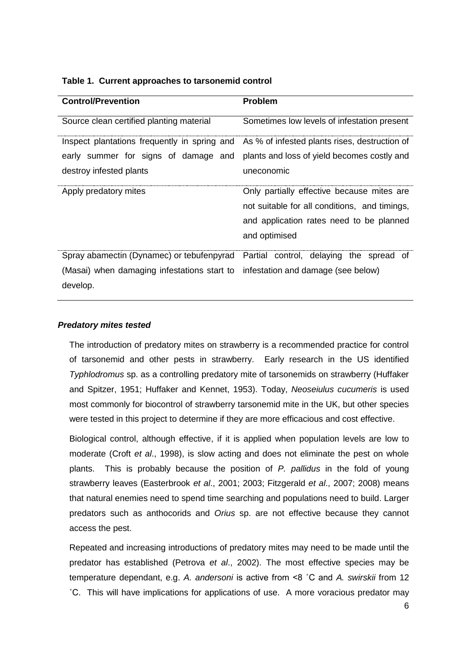|  |  | Table 1. Current approaches to tarsonemid control |  |  |  |
|--|--|---------------------------------------------------|--|--|--|
|--|--|---------------------------------------------------|--|--|--|

| <b>Control/Prevention</b>                                                                  | <b>Problem</b>                                |  |  |  |
|--------------------------------------------------------------------------------------------|-----------------------------------------------|--|--|--|
| Source clean certified planting material                                                   | Sometimes low levels of infestation present   |  |  |  |
| Inspect plantations frequently in spring and As % of infested plants rises, destruction of |                                               |  |  |  |
| early summer for signs of damage and plants and loss of yield becomes costly and           |                                               |  |  |  |
| destroy infested plants                                                                    | uneconomic                                    |  |  |  |
| Apply predatory mites                                                                      | Only partially effective because mites are    |  |  |  |
|                                                                                            | not suitable for all conditions, and timings, |  |  |  |
|                                                                                            | and application rates need to be planned      |  |  |  |
|                                                                                            | and optimised                                 |  |  |  |
| Spray abamectin (Dynamec) or tebufenpyrad                                                  | Partial control, delaying the spread of       |  |  |  |
| (Masai) when damaging infestations start to infestation and damage (see below)             |                                               |  |  |  |
| develop.                                                                                   |                                               |  |  |  |

### *Predatory mites tested*

The introduction of predatory mites on strawberry is a recommended practice for control of tarsonemid and other pests in strawberry. Early research in the US identified *Typhlodromus* sp. as a controlling predatory mite of tarsonemids on strawberry (Huffaker and Spitzer, 1951; Huffaker and Kennet, 1953). Today, *Neoseiulus cucumeris* is used most commonly for biocontrol of strawberry tarsonemid mite in the UK, but other species were tested in this project to determine if they are more efficacious and cost effective.

Biological control, although effective, if it is applied when population levels are low to moderate (Croft *et al*., 1998), is slow acting and does not eliminate the pest on whole plants. This is probably because the position of *P. pallidus* in the fold of young strawberry leaves (Easterbrook *et al*., 2001; 2003; Fitzgerald *et al*., 2007; 2008) means that natural enemies need to spend time searching and populations need to build. Larger predators such as anthocorids and *Orius* sp. are not effective because they cannot access the pest.

Repeated and increasing introductions of predatory mites may need to be made until the predator has established (Petrova *et al*., 2002). The most effective species may be temperature dependant, e.g. *A. andersoni* is active from <8 ˚C and *A. swirskii* from 12 ˚C. This will have implications for applications of use. A more voracious predator may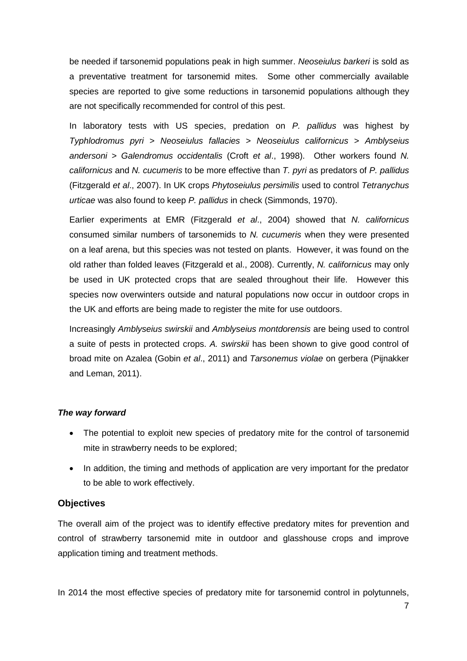be needed if tarsonemid populations peak in high summer. *Neoseiulus barkeri* is sold as a preventative treatment for tarsonemid mites. Some other commercially available species are reported to give some reductions in tarsonemid populations although they are not specifically recommended for control of this pest.

In laboratory tests with US species, predation on *P. pallidus* was highest by *Typhlodromus pyri* > *Neoseiulus fallacies* > *Neoseiulus californicus* > *Amblyseius andersoni* > *Galendromus occidentalis* (Croft *et al*., 1998). Other workers found *N. californicus* and *N. cucumeris* to be more effective than *T. pyri* as predators of *P. pallidus* (Fitzgerald *et al*., 2007). In UK crops *Phytoseiulus persimilis* used to control *Tetranychus urticae* was also found to keep *P. pallidus* in check (Simmonds, 1970).

Earlier experiments at EMR (Fitzgerald *et al*., 2004) showed that *N. californicus* consumed similar numbers of tarsonemids to *N. cucumeris* when they were presented on a leaf arena, but this species was not tested on plants. However, it was found on the old rather than folded leaves (Fitzgerald et al., 2008). Currently, *N. californicus* may only be used in UK protected crops that are sealed throughout their life. However this species now overwinters outside and natural populations now occur in outdoor crops in the UK and efforts are being made to register the mite for use outdoors.

Increasingly *Amblyseius swirskii* and *Amblyseius montdorensis* are being used to control a suite of pests in protected crops. *A. swirskii* has been shown to give good control of broad mite on Azalea (Gobin *et al*., 2011) and *Tarsonemus violae* on gerbera (Pijnakker and Leman, 2011).

#### *The way forward*

- The potential to exploit new species of predatory mite for the control of tarsonemid mite in strawberry needs to be explored;
- In addition, the timing and methods of application are very important for the predator to be able to work effectively.

### <span id="page-10-0"></span>**Objectives**

The overall aim of the project was to identify effective predatory mites for prevention and control of strawberry tarsonemid mite in outdoor and glasshouse crops and improve application timing and treatment methods.

In 2014 the most effective species of predatory mite for tarsonemid control in polytunnels,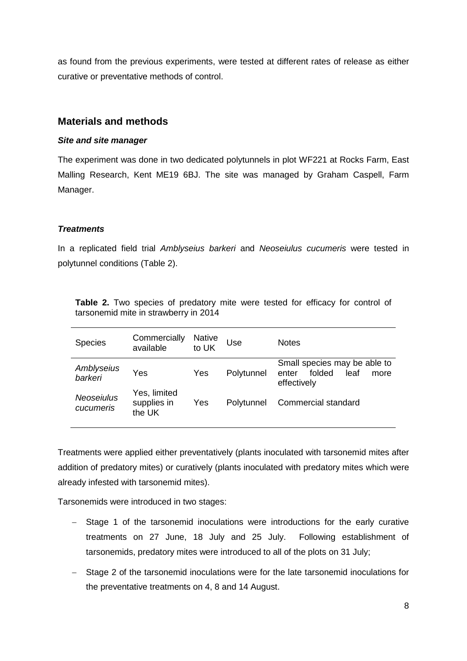as found from the previous experiments, were tested at different rates of release as either curative or preventative methods of control.

### **Materials and methods**

### <span id="page-11-0"></span>*Site and site manager*

The experiment was done in two dedicated polytunnels in plot WF221 at Rocks Farm, East Malling Research, Kent ME19 6BJ. The site was managed by Graham Caspell, Farm Manager.

### *Treatments*

In a replicated field trial *Amblyseius barkeri* and *Neoseiulus cucumeris* were tested in polytunnel conditions (Table 2).

| <b>Species</b>                 | Commercially<br>available             | <b>Native</b><br>to UK | Use        | <b>Notes</b>                                                                   |
|--------------------------------|---------------------------------------|------------------------|------------|--------------------------------------------------------------------------------|
| Amblyseius<br>barkeri          | Yes                                   | Yes                    | Polytunnel | Small species may be able to<br>folded<br>leaf<br>enter<br>more<br>effectively |
| <b>Neoseiulus</b><br>cucumeris | Yes, limited<br>supplies in<br>the UK | Yes                    | Polytunnel | Commercial standard                                                            |

Table 2. Two species of predatory mite were tested for efficacy for control of tarsonemid mite in strawberry in 2014

Treatments were applied either preventatively (plants inoculated with tarsonemid mites after addition of predatory mites) or curatively (plants inoculated with predatory mites which were already infested with tarsonemid mites).

Tarsonemids were introduced in two stages:

- Stage 1 of the tarsonemid inoculations were introductions for the early curative treatments on 27 June, 18 July and 25 July. Following establishment of tarsonemids, predatory mites were introduced to all of the plots on 31 July;
- Stage 2 of the tarsonemid inoculations were for the late tarsonemid inoculations for the preventative treatments on 4, 8 and 14 August.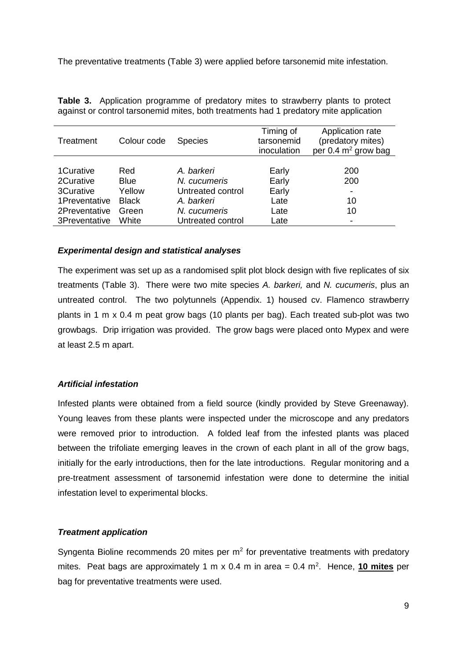The preventative treatments (Table 3) were applied before tarsonemid mite infestation.

| Treatment     | Colour code  | <b>Species</b>    | Timing of<br>tarsonemid<br>inoculation | Application rate<br>(predatory mites)<br>per $0.4$ m <sup>2</sup> grow bag |
|---------------|--------------|-------------------|----------------------------------------|----------------------------------------------------------------------------|
|               |              |                   |                                        |                                                                            |
| 1 Curative    | Red          | A. barkeri        | Early                                  | 200                                                                        |
| 2Curative     | <b>Blue</b>  | N. cucumeris      | Early                                  | 200                                                                        |
| 3Curative     | Yellow       | Untreated control | Early                                  |                                                                            |
| 1Preventative | <b>Black</b> | A. barkeri        | Late                                   | 10                                                                         |
| 2Preventative | Green        | N. cucumeris      | Late                                   | 10                                                                         |
| 3Preventative | White        | Untreated control | Late                                   |                                                                            |

**Table 3.** Application programme of predatory mites to strawberry plants to protect against or control tarsonemid mites, both treatments had 1 predatory mite application

### *Experimental design and statistical analyses*

The experiment was set up as a randomised split plot block design with five replicates of six treatments (Table 3). There were two mite species *A. barkeri,* and *N. cucumeris*, plus an untreated control. The two polytunnels (Appendix. 1) housed cv. Flamenco strawberry plants in 1 m x 0.4 m peat grow bags (10 plants per bag). Each treated sub-plot was two growbags. Drip irrigation was provided. The grow bags were placed onto Mypex and were at least 2.5 m apart.

### *Artificial infestation*

Infested plants were obtained from a field source (kindly provided by Steve Greenaway). Young leaves from these plants were inspected under the microscope and any predators were removed prior to introduction. A folded leaf from the infested plants was placed between the trifoliate emerging leaves in the crown of each plant in all of the grow bags, initially for the early introductions, then for the late introductions. Regular monitoring and a pre-treatment assessment of tarsonemid infestation were done to determine the initial infestation level to experimental blocks.

### *Treatment application*

Syngenta Bioline recommends 20 mites per  $m<sup>2</sup>$  for preventative treatments with predatory mites. Peat bags are approximately 1 m x 0.4 m in area = 0.4 m<sup>2</sup>. Hence, 10 mites per bag for preventative treatments were used.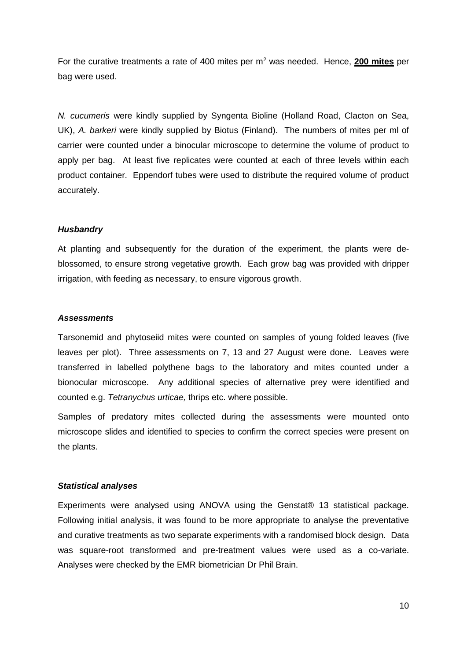For the curative treatments a rate of 400 mites per m<sup>2</sup> was needed. Hence, **200 mites** per bag were used.

*N. cucumeris* were kindly supplied by Syngenta Bioline (Holland Road, Clacton on Sea, UK), *A. barkeri* were kindly supplied by Biotus (Finland). The numbers of mites per ml of carrier were counted under a binocular microscope to determine the volume of product to apply per bag. At least five replicates were counted at each of three levels within each product container. Eppendorf tubes were used to distribute the required volume of product accurately.

### *Husbandry*

At planting and subsequently for the duration of the experiment, the plants were deblossomed, to ensure strong vegetative growth. Each grow bag was provided with dripper irrigation, with feeding as necessary, to ensure vigorous growth.

#### *Assessments*

Tarsonemid and phytoseiid mites were counted on samples of young folded leaves (five leaves per plot). Three assessments on 7, 13 and 27 August were done. Leaves were transferred in labelled polythene bags to the laboratory and mites counted under a bionocular microscope. Any additional species of alternative prey were identified and counted e.g. *Tetranychus urticae,* thrips etc. where possible.

Samples of predatory mites collected during the assessments were mounted onto microscope slides and identified to species to confirm the correct species were present on the plants.

#### *Statistical analyses*

Experiments were analysed using ANOVA using the Genstat® 13 statistical package. Following initial analysis, it was found to be more appropriate to analyse the preventative and curative treatments as two separate experiments with a randomised block design. Data was square-root transformed and pre-treatment values were used as a co-variate. Analyses were checked by the EMR biometrician Dr Phil Brain.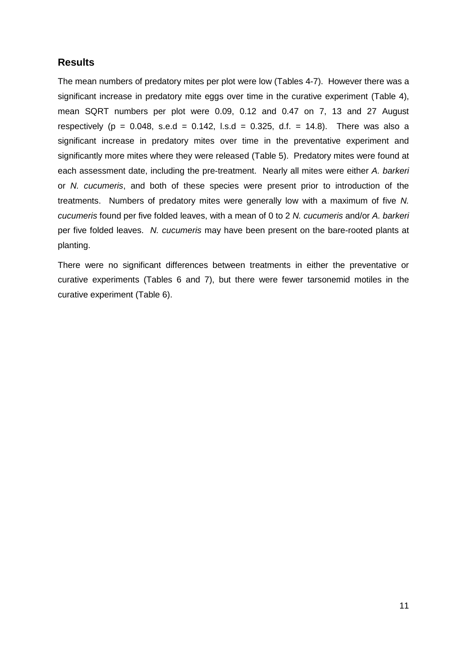# **Results**

The mean numbers of predatory mites per plot were low (Tables 4-7). However there was a significant increase in predatory mite eggs over time in the curative experiment (Table 4), mean SQRT numbers per plot were 0.09, 0.12 and 0.47 on 7, 13 and 27 August respectively ( $p = 0.048$ , s.e.d = 0.142, l.s.d = 0.325, d.f. = 14.8). There was also a significant increase in predatory mites over time in the preventative experiment and significantly more mites where they were released (Table 5). Predatory mites were found at each assessment date, including the pre-treatment. Nearly all mites were either *A. barkeri* or *N. cucumeris*, and both of these species were present prior to introduction of the treatments. Numbers of predatory mites were generally low with a maximum of five *N. cucumeris* found per five folded leaves, with a mean of 0 to 2 *N. cucumeris* and/or *A. barkeri* per five folded leaves. *N. cucumeris* may have been present on the bare-rooted plants at planting.

<span id="page-14-0"></span>There were no significant differences between treatments in either the preventative or curative experiments (Tables 6 and 7), but there were fewer tarsonemid motiles in the curative experiment (Table 6).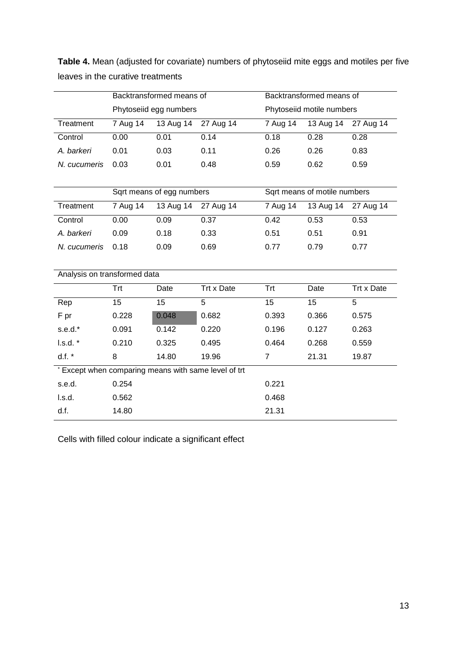|                                                      | Backtransformed means of |                           |            | Backtransformed means of  |                              |            |
|------------------------------------------------------|--------------------------|---------------------------|------------|---------------------------|------------------------------|------------|
|                                                      | Phytoseiid egg numbers   |                           |            | Phytoseiid motile numbers |                              |            |
| Treatment                                            | 7 Aug 14                 | 13 Aug 14                 | 27 Aug 14  | 7 Aug 14                  | 13 Aug 14                    | 27 Aug 14  |
| Control                                              | 0.00                     | 0.01                      | 0.14       | 0.18                      | 0.28                         | 0.28       |
| A. barkeri                                           | 0.01                     | 0.03                      | 0.11       | 0.26                      | 0.26                         | 0.83       |
| N. cucumeris                                         | 0.03                     | 0.01                      | 0.48       | 0.59                      | 0.62                         | 0.59       |
|                                                      |                          |                           |            |                           |                              |            |
|                                                      |                          | Sqrt means of egg numbers |            |                           | Sqrt means of motile numbers |            |
| Treatment                                            | 7 Aug 14                 | 13 Aug 14                 | 27 Aug 14  | 7 Aug 14                  | 13 Aug 14                    | 27 Aug 14  |
| Control                                              | 0.00                     | 0.09                      | 0.37       | 0.42                      | 0.53                         | 0.53       |
| A. barkeri                                           | 0.09                     | 0.18                      | 0.33       | 0.51                      | 0.51                         | 0.91       |
| N. cucumeris                                         | 0.18                     | 0.09                      | 0.69       | 0.77                      | 0.79                         | 0.77       |
|                                                      |                          |                           |            |                           |                              |            |
| Analysis on transformed data                         |                          |                           |            |                           |                              |            |
|                                                      | Trt                      | Date                      | Trt x Date | <b>Trt</b>                | Date                         | Trt x Date |
| Rep                                                  | 15                       | 15                        | 5          | 15                        | 15                           | 5          |
| F pr                                                 | 0.228                    | 0.048                     | 0.682      | 0.393                     | 0.366                        | 0.575      |
| s.e.d.*                                              | 0.091                    | 0.142                     | 0.220      | 0.196                     | 0.127                        | 0.263      |
| l.s.d.                                               | 0.210                    | 0.325                     | 0.495      | 0.464                     | 0.268                        | 0.559      |
| d.f.                                                 | 8                        | 14.80                     | 19.96      | $\overline{7}$            | 21.31                        | 19.87      |
| * Except when comparing means with same level of trt |                          |                           |            |                           |                              |            |
| s.e.d.                                               | 0.254                    |                           |            | 0.221                     |                              |            |
| I.s.d.                                               | 0.562                    |                           |            | 0.468                     |                              |            |
| d.f.                                                 | 14.80                    |                           |            | 21.31                     |                              |            |

**Table 4.** Mean (adjusted for covariate) numbers of phytoseiid mite eggs and motiles per five leaves in the curative treatments

Cells with filled colour indicate a significant effect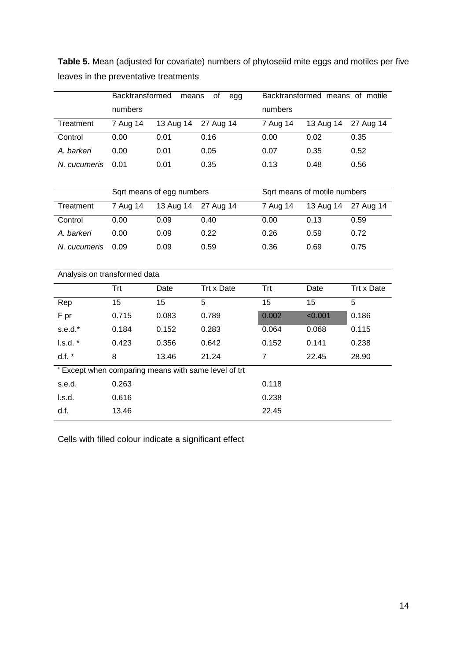|                              | Backtransformed<br>of<br>means<br>egg |                           |                                                      | Backtransformed means of motile |                              |            |
|------------------------------|---------------------------------------|---------------------------|------------------------------------------------------|---------------------------------|------------------------------|------------|
|                              | numbers                               |                           |                                                      | numbers                         |                              |            |
| Treatment                    | 7 Aug 14                              | 13 Aug 14                 | 27 Aug 14                                            | 7 Aug 14                        | 13 Aug 14                    | 27 Aug 14  |
| Control                      | 0.00                                  | 0.01                      | 0.16                                                 | 0.00                            | 0.02                         | 0.35       |
| A. barkeri                   | 0.00                                  | 0.01                      | 0.05                                                 | 0.07                            | 0.35                         | 0.52       |
| N. cucumeris                 | 0.01                                  | 0.01                      | 0.35                                                 | 0.13                            | 0.48                         | 0.56       |
|                              |                                       |                           |                                                      |                                 |                              |            |
|                              |                                       | Sqrt means of egg numbers |                                                      |                                 | Sqrt means of motile numbers |            |
| Treatment                    | 7 Aug 14                              | 13 Aug 14                 | 27 Aug 14                                            | 7 Aug 14                        | $13$ Aug $14$                | 27 Aug 14  |
| Control                      | 0.00                                  | 0.09                      | 0.40                                                 | 0.00                            | 0.13                         | 0.59       |
| A. barkeri                   | 0.00                                  | 0.09                      | 0.22                                                 | 0.26                            | 0.59                         | 0.72       |
| N. cucumeris                 | 0.09                                  | 0.09                      | 0.59                                                 | 0.36                            | 0.69                         | 0.75       |
|                              |                                       |                           |                                                      |                                 |                              |            |
| Analysis on transformed data |                                       |                           |                                                      |                                 |                              |            |
|                              | Trt                                   | Date                      | Trt x Date                                           | Trt                             | Date                         | Trt x Date |
| Rep                          | 15                                    | 15                        | 5                                                    | 15                              | 15                           | 5          |
| F pr                         | 0.715                                 | 0.083                     | 0.789                                                | 0.002                           | < 0.001                      | 0.186      |
| s.e.d.*                      | 0.184                                 | 0.152                     | 0.283                                                | 0.064                           | 0.068                        | 0.115      |
| l.s.d.                       | 0.423                                 | 0.356                     | 0.642                                                | 0.152                           | 0.141                        | 0.238      |
| d.f.                         | 8                                     | 13.46                     | 21.24                                                | $\overline{7}$                  | 22.45                        | 28.90      |
|                              |                                       |                           | * Except when comparing means with same level of trt |                                 |                              |            |
| s.e.d.                       | 0.263                                 |                           |                                                      | 0.118                           |                              |            |
| l.s.d.                       | 0.616                                 |                           |                                                      | 0.238                           |                              |            |
| d.f.                         | 13.46                                 |                           |                                                      | 22.45                           |                              |            |

**Table 5.** Mean (adjusted for covariate) numbers of phytoseiid mite eggs and motiles per five leaves in the preventative treatments

Cells with filled colour indicate a significant effect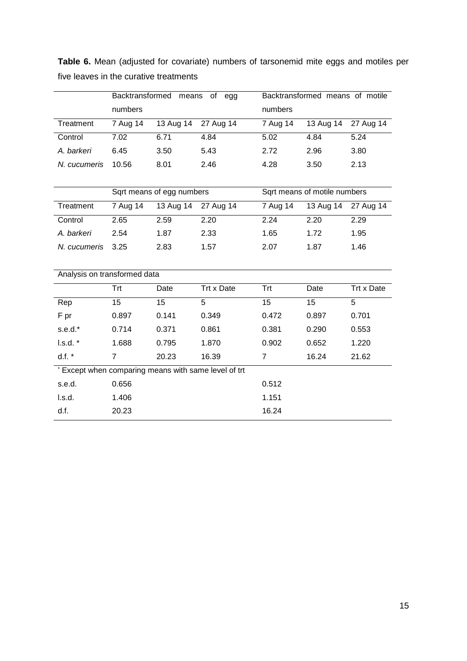|                                                      | Backtransformed means<br>of egg |                           |                     | Backtransformed means of motile |                              |                |
|------------------------------------------------------|---------------------------------|---------------------------|---------------------|---------------------------------|------------------------------|----------------|
|                                                      | numbers                         |                           |                     | numbers                         |                              |                |
| Treatment                                            | 7 Aug 14                        | 13 Aug 14                 | 27 Aug 14           | 7 Aug 14                        | 13 Aug 14                    | 27 Aug 14      |
| Control                                              | 7.02                            | 6.71                      | 4.84                | 5.02                            | 4.84                         | 5.24           |
| A. barkeri                                           | 6.45                            | 3.50                      | 5.43                | 2.72                            | 2.96                         | 3.80           |
| N. cucumeris                                         | 10.56                           | 8.01                      | 2.46                | 4.28                            | 3.50                         | 2.13           |
|                                                      |                                 |                           |                     |                                 |                              |                |
|                                                      |                                 | Sqrt means of egg numbers |                     |                                 | Sqrt means of motile numbers |                |
| Treatment                                            | 7 Aug 14                        |                           | 13 Aug 14 27 Aug 14 | 7 Aug 14                        | 13 Aug 14                    | 27 Aug 14      |
| Control                                              | 2.65                            | 2.59                      | 2.20                | 2.24                            | 2.20                         | 2.29           |
| A. barkeri                                           | 2.54                            | 1.87                      | 2.33                | 1.65                            | 1.72                         | 1.95           |
| N. cucumeris                                         | 3.25                            | 2.83                      | 1.57                | 2.07                            | 1.87                         | 1.46           |
|                                                      |                                 |                           |                     |                                 |                              |                |
| Analysis on transformed data                         |                                 |                           |                     |                                 |                              |                |
|                                                      | <b>Trt</b>                      | Date                      | Trt x Date          | Trt                             | Date                         | Trt x Date     |
| Rep                                                  | 15                              | 15                        | $\overline{5}$      | 15                              | $\overline{15}$              | $\overline{5}$ |
| F pr                                                 | 0.897                           | 0.141                     | 0.349               | 0.472                           | 0.897                        | 0.701          |
| $s.e.d.*$                                            | 0.714                           | 0.371                     | 0.861               | 0.381                           | 0.290                        | 0.553          |
| l.s.d.                                               | 1.688                           | 0.795                     | 1.870               | 0.902                           | 0.652                        | 1.220          |
| d.f.                                                 | $\overline{7}$                  | 20.23                     | 16.39               | $\overline{7}$                  | 16.24                        | 21.62          |
| * Except when comparing means with same level of trt |                                 |                           |                     |                                 |                              |                |
| s.e.d.                                               | 0.656                           |                           |                     | 0.512                           |                              |                |
| l.s.d.                                               | 1.406                           |                           |                     | 1.151                           |                              |                |
| d.f.                                                 | 20.23                           |                           |                     | 16.24                           |                              |                |

**Table 6.** Mean (adjusted for covariate) numbers of tarsonemid mite eggs and motiles per five leaves in the curative treatments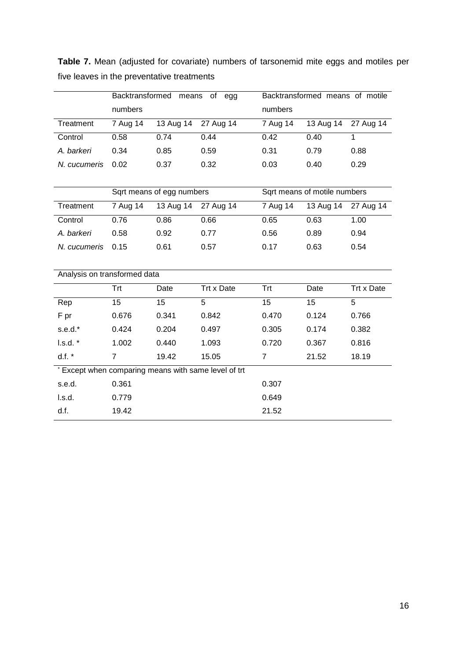|                                                      | Backtransformed means of egg |                           |                     | Backtransformed means of motile |                              |                |
|------------------------------------------------------|------------------------------|---------------------------|---------------------|---------------------------------|------------------------------|----------------|
|                                                      | numbers                      |                           |                     | numbers                         |                              |                |
| Treatment                                            | 7 Aug 14                     | 13 Aug 14                 | 27 Aug 14           | 7 Aug 14                        | 13 Aug 14                    | 27 Aug 14      |
| Control                                              | 0.58                         | 0.74                      | 0.44                | 0.42                            | 0.40                         | $\mathbf{1}$   |
| A. barkeri                                           | 0.34                         | 0.85                      | 0.59                | 0.31                            | 0.79                         | 0.88           |
| N. cucumeris                                         | 0.02                         | 0.37                      | 0.32                | 0.03                            | 0.40                         | 0.29           |
|                                                      |                              |                           |                     |                                 |                              |                |
|                                                      |                              | Sqrt means of egg numbers |                     |                                 | Sqrt means of motile numbers |                |
| Treatment                                            | 7 Aug $14$                   |                           | 13 Aug 14 27 Aug 14 | 7 Aug $14$                      | 13 Aug 14                    | 27 Aug 14      |
| Control                                              | 0.76                         | 0.86                      | 0.66                | 0.65                            | 0.63                         | 1.00           |
| A. barkeri                                           | 0.58                         | 0.92                      | 0.77                | 0.56                            | 0.89                         | 0.94           |
| N. cucumeris                                         | 0.15                         | 0.61                      | 0.57                | 0.17                            | 0.63                         | 0.54           |
|                                                      |                              |                           |                     |                                 |                              |                |
| Analysis on transformed data                         |                              |                           |                     |                                 |                              |                |
|                                                      | <b>Trt</b>                   | Date                      | Trt x Date          | <b>Trt</b>                      | Date                         | Trt x Date     |
| Rep                                                  | $\overline{15}$              | 15                        | $\overline{5}$      | 15                              | $\overline{15}$              | $\overline{5}$ |
| F pr                                                 | 0.676                        | 0.341                     | 0.842               | 0.470                           | 0.124                        | 0.766          |
| $s.e.d.*$                                            | 0.424                        | 0.204                     | 0.497               | 0.305                           | 0.174                        | 0.382          |
| l.s.d.                                               | 1.002                        | 0.440                     | 1.093               | 0.720                           | 0.367                        | 0.816          |
| d.f.                                                 | $\overline{7}$               | 19.42                     | 15.05               | $\overline{7}$                  | 21.52                        | 18.19          |
| * Except when comparing means with same level of trt |                              |                           |                     |                                 |                              |                |
| s.e.d.                                               | 0.361                        |                           |                     | 0.307                           |                              |                |
| l.s.d.                                               | 0.779                        |                           |                     | 0.649                           |                              |                |
| d.f.                                                 | 19.42                        |                           |                     | 21.52                           |                              |                |

**Table 7.** Mean (adjusted for covariate) numbers of tarsonemid mite eggs and motiles per five leaves in the preventative treatments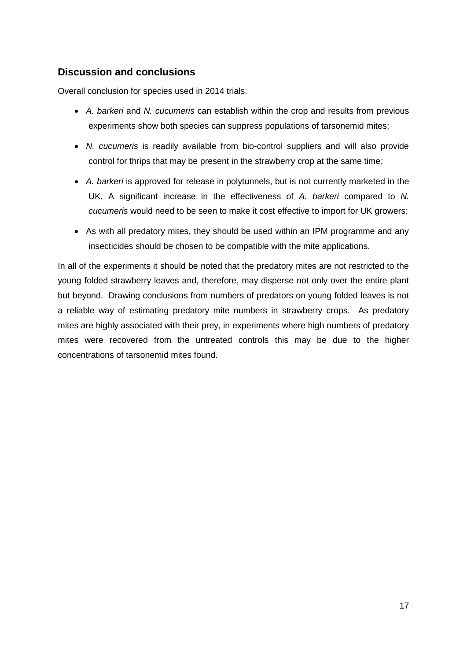# **Discussion and conclusions**

Overall conclusion for species used in 2014 trials:

- *A. barkeri* and *N. cucumeris* can establish within the crop and results from previous experiments show both species can suppress populations of tarsonemid mites;
- *N. cucumeris* is readily available from bio-control suppliers and will also provide control for thrips that may be present in the strawberry crop at the same time;
- *A. barkeri* is approved for release in polytunnels, but is not currently marketed in the UK. A significant increase in the effectiveness of *A. barkeri* compared to *N. cucumeris* would need to be seen to make it cost effective to import for UK growers;
- As with all predatory mites, they should be used within an IPM programme and any insecticides should be chosen to be compatible with the mite applications.

<span id="page-19-0"></span>In all of the experiments it should be noted that the predatory mites are not restricted to the young folded strawberry leaves and, therefore, may disperse not only over the entire plant but beyond. Drawing conclusions from numbers of predators on young folded leaves is not a reliable way of estimating predatory mite numbers in strawberry crops. As predatory mites are highly associated with their prey, in experiments where high numbers of predatory mites were recovered from the untreated controls this may be due to the higher concentrations of tarsonemid mites found.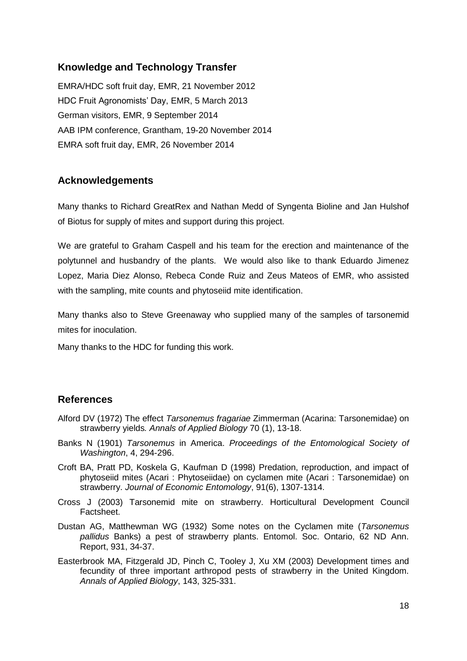## **Knowledge and Technology Transfer**

EMRA/HDC soft fruit day, EMR, 21 November 2012 HDC Fruit Agronomists' Day, EMR, 5 March 2013 German visitors, EMR, 9 September 2014 AAB IPM conference, Grantham, 19-20 November 2014 EMRA soft fruit day, EMR, 26 November 2014

## <span id="page-20-0"></span>**Acknowledgements**

Many thanks to Richard GreatRex and Nathan Medd of Syngenta Bioline and Jan Hulshof of Biotus for supply of mites and support during this project.

We are grateful to Graham Caspell and his team for the erection and maintenance of the polytunnel and husbandry of the plants. We would also like to thank Eduardo Jimenez Lopez, Maria Diez Alonso, Rebeca Conde Ruiz and Zeus Mateos of EMR, who assisted with the sampling, mite counts and phytoseiid mite identification.

Many thanks also to Steve Greenaway who supplied many of the samples of tarsonemid mites for inoculation.

Many thanks to the HDC for funding this work.

## **References**

- <span id="page-20-1"></span>Alford DV (1972) The effect *Tarsonemus fragariae* Zimmerman (Acarina: Tarsonemidae) on strawberry yields*. Annals of Applied Biology* 70 (1), 13-18.
- Banks N (1901) *Tarsonemus* in America. *Proceedings of the Entomological Society of Washington*, 4, 294-296.
- Croft BA, Pratt PD, Koskela G, Kaufman D (1998) Predation, reproduction, and impact of phytoseiid mites (Acari : Phytoseiidae) on cyclamen mite (Acari : Tarsonemidae) on strawberry. *Journal of Economic Entomology*, 91(6), 1307-1314.
- Cross J (2003) Tarsonemid mite on strawberry. Horticultural Development Council Factsheet.
- Dustan AG, Matthewman WG (1932) Some notes on the Cyclamen mite (*Tarsonemus pallidus* Banks) a pest of strawberry plants. Entomol. Soc. Ontario, 62 ND Ann. Report, 931, 34-37.
- Easterbrook MA, Fitzgerald JD, Pinch C, Tooley J, Xu XM (2003) Development times and fecundity of three important arthropod pests of strawberry in the United Kingdom. *Annals of Applied Biology*, 143, 325-331.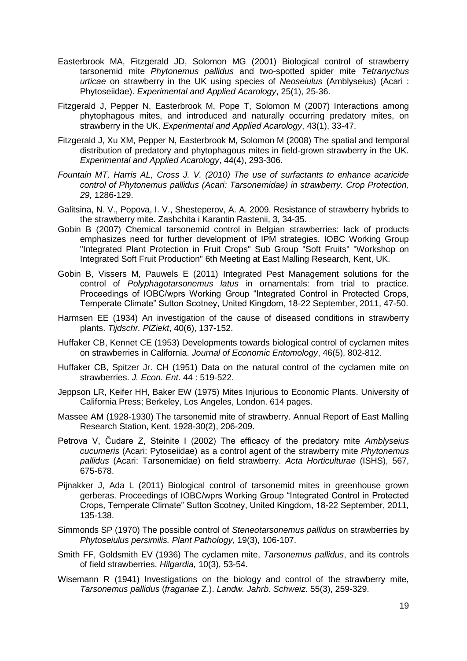- Easterbrook MA, Fitzgerald JD, Solomon MG (2001) Biological control of strawberry tarsonemid mite *Phytonemus pallidus* and two-spotted spider mite *Tetranychus urticae* on strawberry in the UK using species of *Neoseiulus* (Amblyseius) (Acari : Phytoseiidae). *Experimental and Applied Acarology*, 25(1), 25-36.
- Fitzgerald J, Pepper N, Easterbrook M, Pope T, Solomon M (2007) Interactions among phytophagous mites, and introduced and naturally occurring predatory mites, on strawberry in the UK. *Experimental and Applied Acarology*, 43(1), 33-47.
- Fitzgerald J, Xu XM, Pepper N, Easterbrook M, Solomon M (2008) The spatial and temporal distribution of predatory and phytophagous mites in field-grown strawberry in the UK. *Experimental and Applied Acarology*, 44(4), 293-306.
- *Fountain MT, Harris AL, Cross J. V. (2010) The use of surfactants to enhance acaricide control of Phytonemus pallidus (Acari: Tarsonemidae) in strawberry. Crop Protection, 29,* 1286-129.
- Galitsina, N. V., Popova, I. V., Shesteperov, A. A. 2009. Resistance of strawberry hybrids to the strawberry mite. Zashchita i Karantin Rastenii, 3, 34-35.
- Gobin B (2007) Chemical tarsonemid control in Belgian strawberries: lack of products emphasizes need for further development of IPM strategies. IOBC Working Group "Integrated Plant Protection in Fruit Crops" Sub Group "Soft Fruits" "Workshop on Integrated Soft Fruit Production" 6th Meeting at East Malling Research, Kent, UK.
- Gobin B, Vissers M, Pauwels E (2011) Integrated Pest Management solutions for the control of *Polyphagotarsonemus latus* in ornamentals: from trial to practice. Proceedings of IOBC/wprs Working Group "Integrated Control in Protected Crops, Temperate Climate" Sutton Scotney, United Kingdom, 18-22 September, 2011, 47-50.
- Harmsen EE (1934) An investigation of the cause of diseased conditions in strawberry plants. *Tijdschr. PlZiekt*, 40(6), 137-152.
- Huffaker CB, Kennet CE (1953) Developments towards biological control of cyclamen mites on strawberries in California. *Journal of Economic Entomology*, 46(5), 802-812.
- Huffaker CB, Spitzer Jr. CH (1951) Data on the natural control of the cyclamen mite on strawberries. *J. Econ. Ent*. 44 : 519-522.
- Jeppson LR, Keifer HH, Baker EW (1975) Mites Injurious to Economic Plants. University of California Press; Berkeley, Los Angeles, London. 614 pages.
- Massee AM (1928-1930) The tarsonemid mite of strawberry. Annual Report of East Malling Research Station, Kent. 1928-30(2), 206-209.
- Petrova V, Čudare Z, Steinite I (2002) The efficacy of the predatory mite *Amblyseius cucumeris* (Acari: Pytoseiidae) as a control agent of the strawberry mite *Phytonemus pallidus* (Acari: Tarsonemidae) on field strawberry. *Acta Horticulturae* (ISHS), 567, 675-678.
- Pijnakker J, Ada L (2011) Biological control of tarsonemid mites in greenhouse grown gerberas. Proceedings of IOBC/wprs Working Group "Integrated Control in Protected Crops, Temperate Climate" Sutton Scotney, United Kingdom, 18-22 September, 2011*,*  135-138.
- Simmonds SP (1970) The possible control of *Steneotarsonemus pallidus* on strawberries by *Phytoseiulus persimilis. Plant Pathology*, 19(3), 106-107.
- Smith FF, Goldsmith EV (1936) The cyclamen mite, *Tarsonemus pallidus*, and its controls of field strawberries. *Hilgardia,* 10(3), 53-54.
- Wisemann R (1941) Investigations on the biology and control of the strawberry mite, *Tarsonemus pallidus* (*fragariae* Z.). *Landw. Jahrb. Schweiz*. 55(3), 259-329.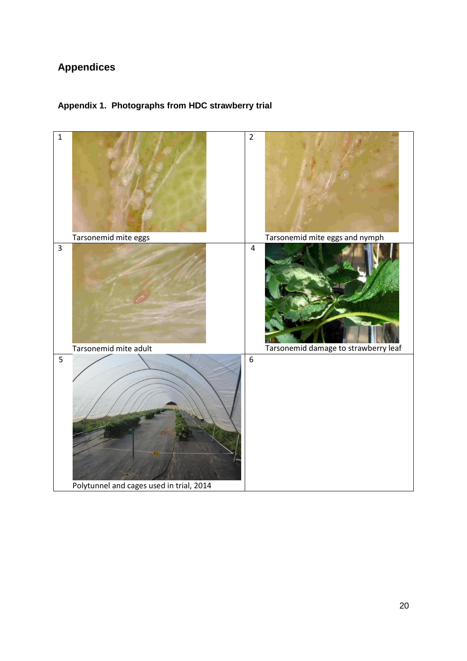# **Appendices**